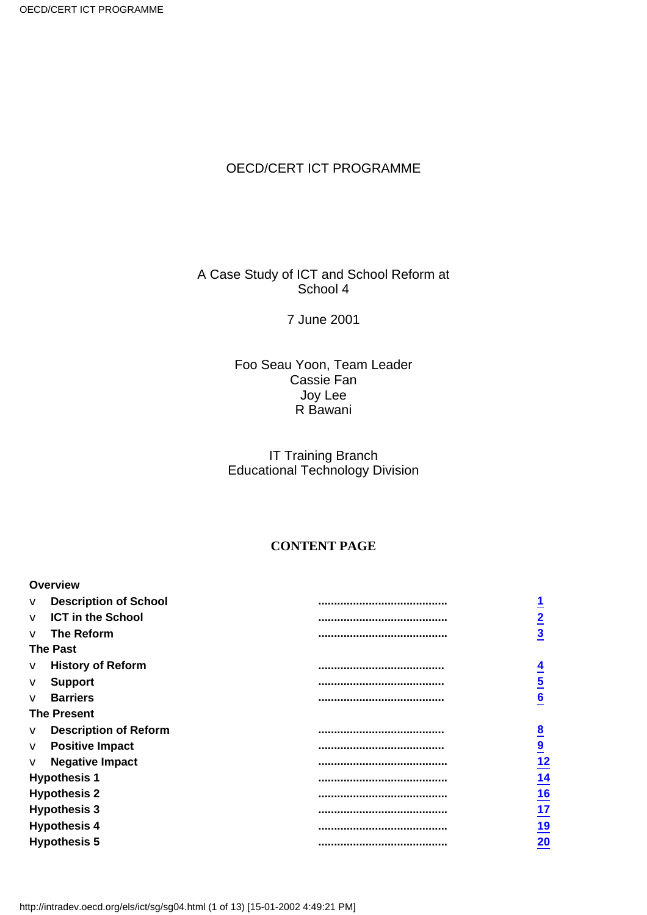## OECD/CERT ICT PROGRAMME

## A Case Study of ICT and School Reform at School 4

## 7 June 2001

### Foo Seau Yoon, Team Leader Cassie Fan Joy Lee R Bawani

## IT Training Branch Educational Technology Division

#### **CONTENT PAGE**

|                     | <b>Overview</b>              |                                       |                                 |
|---------------------|------------------------------|---------------------------------------|---------------------------------|
| $\vee$              | <b>Description of School</b> |                                       | 1                               |
| $\sqrt{}$           | <b>ICT in the School</b>     |                                       | $\overline{2}$                  |
| $\overline{V}$      | The Reform                   |                                       | $\overline{3}$                  |
|                     | <b>The Past</b>              |                                       |                                 |
| V                   | <b>History of Reform</b>     |                                       | $\overline{4}$                  |
| V                   | <b>Support</b>               |                                       | $\overline{\mathbf{5}}$         |
| $\vee$              | <b>Barriers</b>              |                                       | 6                               |
|                     | <b>The Present</b>           |                                       |                                 |
| V                   | <b>Description of Reform</b> |                                       | $\overline{8}$                  |
| V                   | <b>Positive Impact</b>       |                                       | $\overline{\mathbf{9}}$         |
| V                   | <b>Negative Impact</b>       |                                       | <u>12</u>                       |
|                     | <b>Hypothesis 1</b>          | ,,,,,,,,,,,,,,,,,,,,,,,,,,,,,,,,,,,,, | <u>14</u>                       |
|                     | <b>Hypothesis 2</b>          |                                       |                                 |
| <b>Hypothesis 3</b> |                              |                                       |                                 |
|                     | <b>Hypothesis 4</b>          |                                       | $\frac{16}{17}$ $\frac{19}{20}$ |
|                     | <b>Hypothesis 5</b>          |                                       |                                 |
|                     |                              |                                       |                                 |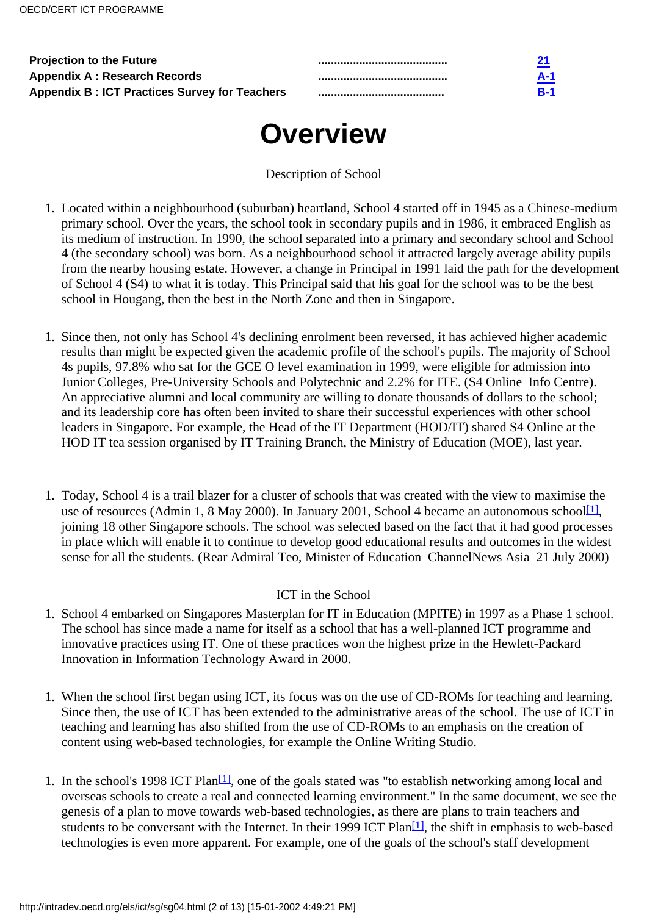| <b>Projection to the Future</b>                      |            |
|------------------------------------------------------|------------|
| <b>Appendix A: Research Records</b>                  | A-1        |
| <b>Appendix B: ICT Practices Survey for Teachers</b> | <b>B-1</b> |

# **Overview**

Description of School

- <span id="page-1-0"></span>1. Located within a neighbourhood (suburban) heartland, School 4 started off in 1945 as a Chinese-medium primary school. Over the years, the school took in secondary pupils and in 1986, it embraced English as its medium of instruction. In 1990, the school separated into a primary and secondary school and School 4 (the secondary school) was born. As a neighbourhood school it attracted largely average ability pupils from the nearby housing estate. However, a change in Principal in 1991 laid the path for the development of School 4 (S4) to what it is today. This Principal said that his goal for the school was to be the best school in Hougang, then the best in the North Zone and then in Singapore.
- 1. Since then, not only has School 4's declining enrolment been reversed, it has achieved higher academic results than might be expected given the academic profile of the school's pupils. The majority of School 4s pupils, 97.8% who sat for the GCE O level examination in 1999, were eligible for admission into Junior Colleges, Pre-University Schools and Polytechnic and 2.2% for ITE. (S4 Online Info Centre). An appreciative alumni and local community are willing to donate thousands of dollars to the school; and its leadership core has often been invited to share their successful experiences with other school leaders in Singapore. For example, the Head of the IT Department (HOD/IT) shared S4 Online at the HOD IT tea session organised by IT Training Branch, the Ministry of Education (MOE), last year.
- <span id="page-1-2"></span>Today, School 4 is a trail blazer for a cluster of schools that was created with the view to maximise the 1. use of resources (Admin 1, 8 May 2000). In January 2001, School 4 became an autonomous school  $[1]$ , joining 18 other Singapore schools. The school was selected based on the fact that it had good processes in place which will enable it to continue to develop good educational results and outcomes in the widest sense for all the students. (Rear Admiral Teo, Minister of Education ChannelNews Asia 21 July 2000)

## ICT in the School

- <span id="page-1-1"></span>1. School 4 embarked on Singapore s Masterplan for IT in Education (MPITE) in 1997 as a Phase 1 school. The school has since made a name for itself as a school that has a well-planned ICT programme and innovative practices using IT. One of these practices won the highest prize in the Hewlett-Packard Innovation in Information Technology Award in 2000.
- When the school first began using ICT, its focus was on the use of CD-ROMs for teaching and learning. 1. Since then, the use of ICT has been extended to the administrative areas of the school. The use of ICT in teaching and learning has also shifted from the use of CD-ROMs to an emphasis on the creation of content using web-based technologies, for example the Online Writing Studio.
- <span id="page-1-4"></span><span id="page-1-3"></span>1. In the school's 1998 ICT Plan<sup>[\[1\]](#page-12-1)</sup>, one of the goals stated was "to establish networking among local and overseas schools to create a real and connected learning environment." In the same document, we see the genesis of a plan to move towards web-based technologies, as there are plans to train teachers and students to be conversant with the Internet. In their 1999 ICT Plan<sup>[\[1\]](#page-12-2)</sup>, the shift in emphasis to web-based technologies is even more apparent. For example, one of the goals of the school's staff development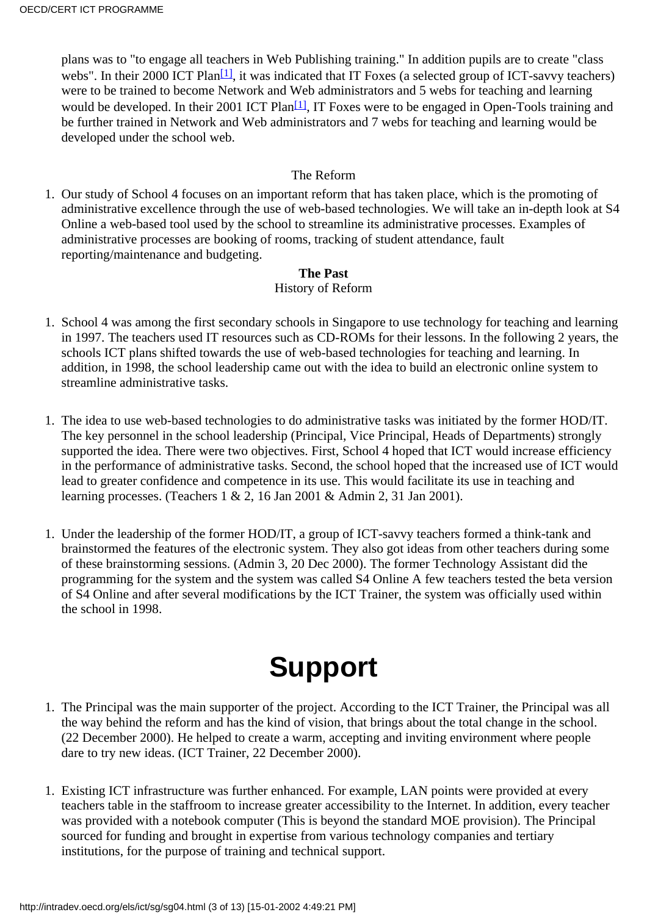<span id="page-2-4"></span><span id="page-2-3"></span>plans was to "to engage all teachers in Web Publishing training." In addition pupils are to create "class webs". In their 2000 ICT Plan<sup>[1]</sup>, it was indicated that IT Foxes (a selected group of ICT-savvy teachers) were to be trained to become Network and Web administrators and 5 webs for teaching and learning would be developed. In their 2001 ICT Plan<sup>[1]</sup>, IT Foxes were to be engaged in Open-Tools training and be further trained in Network and Web administrators and 7 webs for teaching and learning would be developed under the school web.

#### The Reform

<span id="page-2-0"></span>1. Our study of School 4 focuses on an important reform that has taken place, which is the promoting of administrative excellence through the use of web-based technologies. We will take an in-depth look at S4 Online a web-based tool used by the school to streamline its administrative processes. Examples of administrative processes are booking of rooms, tracking of student attendance, fault reporting/maintenance and budgeting.

#### **The Past**

## History of Reform

- <span id="page-2-1"></span>1. School 4 was among the first secondary schools in Singapore to use technology for teaching and learning in 1997. The teachers used IT resources such as CD-ROMs for their lessons. In the following 2 years, the schools ICT plans shifted towards the use of web-based technologies for teaching and learning. In addition, in 1998, the school leadership came out with the idea to build an electronic online system to streamline administrative tasks.
- The idea to use web-based technologies to do administrative tasks was initiated by the former HOD/IT. 1. The key personnel in the school leadership (Principal, Vice Principal, Heads of Departments) strongly supported the idea. There were two objectives. First, School 4 hoped that ICT would increase efficiency in the performance of administrative tasks. Second, the school hoped that the increased use of ICT would lead to greater confidence and competence in its use. This would facilitate its use in teaching and learning processes. (Teachers 1 & 2, 16 Jan 2001 & Admin 2, 31 Jan 2001).
- 1. Under the leadership of the former HOD/IT, a group of ICT-savvy teachers formed a think-tank and brainstormed the features of the electronic system. They also got ideas from other teachers during some of these brainstorming sessions. (Admin 3, 20 Dec 2000). The former Technology Assistant did the programming for the system and the system was called S4 Online A few teachers tested the beta version of S4 Online and after several modifications by the ICT Trainer, the system was officially used within the school in 1998.

# **Support**

- <span id="page-2-2"></span>1. The Principal was the main supporter of the project. According to the ICT Trainer, the Principal was all the way behind the reform and has the kind of vision, that brings about the total change in the school. (22 December 2000). He helped to create a warm, accepting and inviting environment where people dare to try new ideas. (ICT Trainer, 22 December 2000).
- 1. Existing ICT infrastructure was further enhanced. For example, LAN points were provided at every teacher s table in the staffroom to increase greater accessibility to the Internet. In addition, every teacher was provided with a notebook computer (This is beyond the standard MOE provision). The Principal sourced for funding and brought in expertise from various technology companies and tertiary institutions, for the purpose of training and technical support.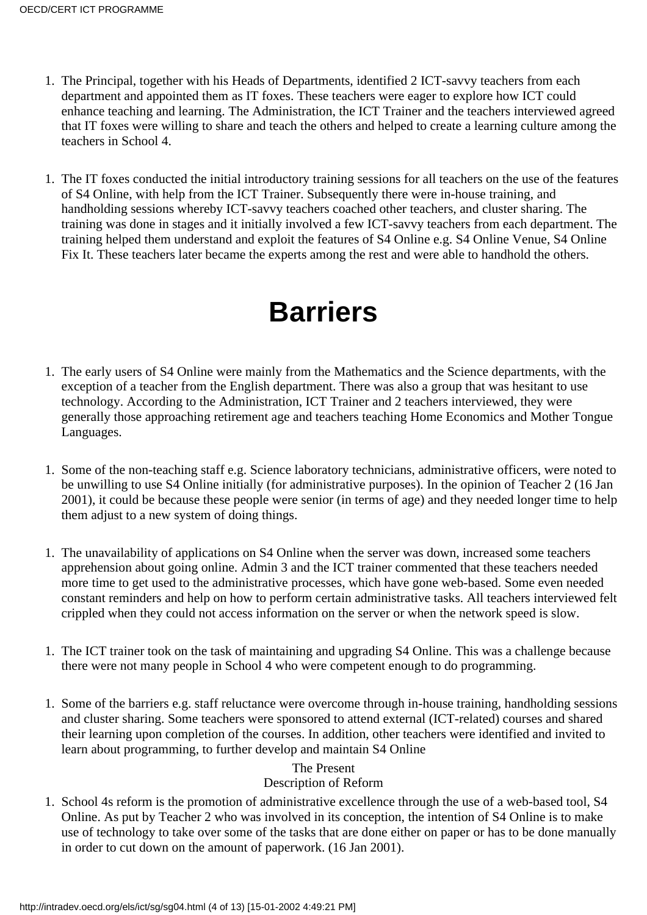- 1. The Principal, together with his Heads of Departments, identified 2 ICT-savvy teachers from each department and appointed them as IT foxes. These teachers were eager to explore how ICT could enhance teaching and learning. The Administration, the ICT Trainer and the teachers interviewed agreed that IT foxes were willing to share and teach the others and helped to create a learning culture among the teachers in School 4.
- 1. The IT foxes conducted the initial introductory training sessions for all teachers on the use of the features of S4 Online, with help from the ICT Trainer. Subsequently there were in-house training, and handholding sessions whereby ICT-savvy teachers coached other teachers, and cluster sharing. The training was done in stages and it initially involved a few ICT-savvy teachers from each department. The training helped them understand and exploit the features of S4 Online e.g. S4 Online Venue, S4 Online Fix It. These teachers later became the experts among the rest and were able to handhold the others.

# **Barriers**

- <span id="page-3-0"></span>1. The early users of S4 Online were mainly from the Mathematics and the Science departments, with the exception of a teacher from the English department. There was also a group that was hesitant to use technology. According to the Administration, ICT Trainer and 2 teachers interviewed, they were generally those approaching retirement age and teachers teaching Home Economics and Mother Tongue Languages.
- 1. Some of the non-teaching staff e.g. Science laboratory technicians, administrative officers, were noted to be unwilling to use S4 Online initially (for administrative purposes). In the opinion of Teacher 2 (16 Jan 2001), it could be because these people were senior (in terms of age) and they needed longer time to help them adjust to a new system of doing things.
- 1. The unavailability of applications on S4 Online when the server was down, increased some teachers apprehension about going online. Admin 3 and the ICT trainer commented that these teachers needed more time to get used to the administrative processes, which have gone web-based. Some even needed constant reminders and help on how to perform certain administrative tasks. All teachers interviewed felt crippled when they could not access information on the server or when the network speed is slow.
- 1. The ICT trainer took on the task of maintaining and upgrading S4 Online. This was a challenge because there were not many people in School 4 who were competent enough to do programming.
- 1. Some of the barriers e.g. staff reluctance were overcome through in-house training, handholding sessions and cluster sharing. Some teachers were sponsored to attend external (ICT-related) courses and shared their learning upon completion of the courses. In addition, other teachers were identified and invited to learn about programming, to further develop and maintain S4 Online

## The Present

## Description of Reform

<span id="page-3-1"></span>1. School 4 s reform is the promotion of administrative excellence through the use of a web-based tool, S4 Online. As put by Teacher 2 who was involved in its conception, the intention of S4 Online is to make use of technology to take over some of the tasks that are done either on paper or has to be done manually in order to cut down on the amount of paperwork. (16 Jan 2001).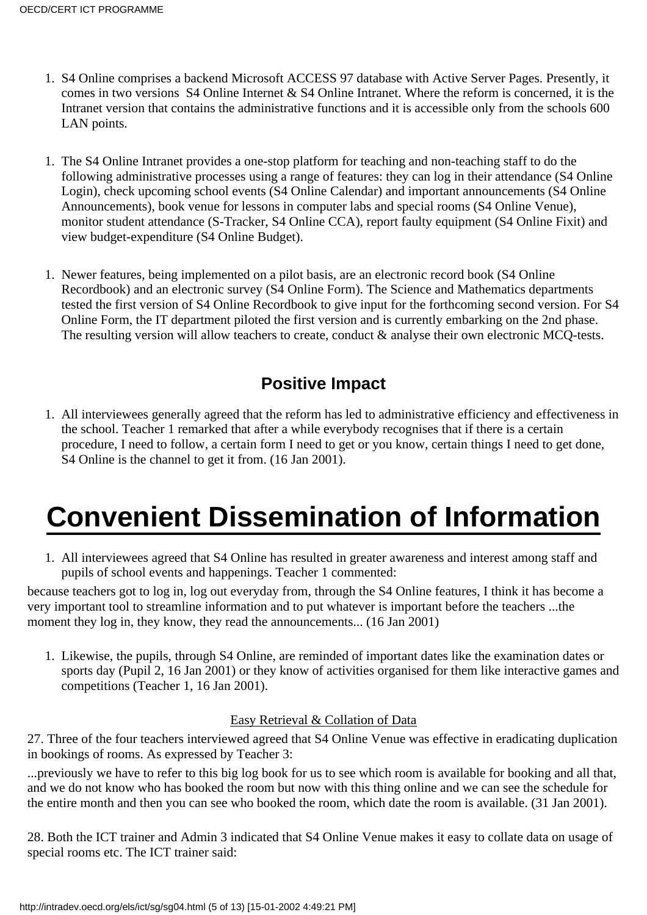- 1. S4 Online comprises a backend Microsoft ACCESS 97 database with Active Server Pages. Presently, it comes in two versions S4 Online Internet & S4 Online Intranet. Where the reform is concerned, it is the Intranet version that contains the administrative functions and it is accessible only from the school s 600 LAN points.
- 1. The S4 Online Intranet provides a one-stop platform for teaching and non-teaching staff to do the following administrative processes using a range of features: they can log in their attendance (S4 Online Login), check upcoming school events (S4 Online Calendar) and important announcements (S4 Online Announcements), book venue for lessons in computer labs and special rooms (S4 Online Venue), monitor student attendance (S-Tracker, S4 Online CCA), report faulty equipment (S4 Online Fixit) and view budget-expenditure (S4 Online Budget).
- 1. Newer features, being implemented on a pilot basis, are an electronic record book (S4 Online Recordbook) and an electronic survey (S4 Online Form). The Science and Mathematics departments tested the first version of S4 Online Recordbook to give input for the forthcoming second version. For S4 Online Form, the IT department piloted the first version and is currently embarking on the 2nd phase. The resulting version will allow teachers to create, conduct & analyse their own electronic MCQ-tests.

# **Positive Impact**

<span id="page-4-0"></span>All interviewees generally agreed that the reform has led to administrative efficiency and effectiveness in 1. the school. Teacher 1 remarked that after a while everybody recognises that if there is a certain procedure, I need to follow, a certain form I need to get or you know, certain things I need to get done, S4 Online is the channel to get it from.  $(16 \text{ Jan } 2001)$ .

# **Convenient Dissemination of Information**

All interviewees agreed that S4 Online has resulted in greater awareness and interest among staff and 1. pupils of school events and happenings. Teacher 1 commented:

because teachers got to log in, log out everyday from, through the S4 Online features, I think it has become a very important tool to streamline information and to put whatever is important before the teachers ...the moment they log in, they know, they read the announcements... (16 Jan 2001)

1. Likewise, the pupils, through S4 Online, are reminded of important dates like the examination dates or sports day (Pupil 2, 16 Jan 2001) or they know of activities organised for them like interactive games and competitions (Teacher 1, 16 Jan 2001).

## Easy Retrieval & Collation of Data

27. Three of the four teachers interviewed agreed that S4 Online Venue was effective in eradicating duplication in bookings of rooms. As expressed by Teacher 3:

...previously we have to refer to this big log book for us to see which room is available for booking and all that, and we do not know who has booked the room but now with this thing online and we can see the schedule for the entire month and then you can see who booked the room, which date the room is available. (31 Jan 2001).

28. Both the ICT trainer and Admin 3 indicated that S4 Online Venue makes it easy to collate data on usage of special rooms etc. The ICT trainer said: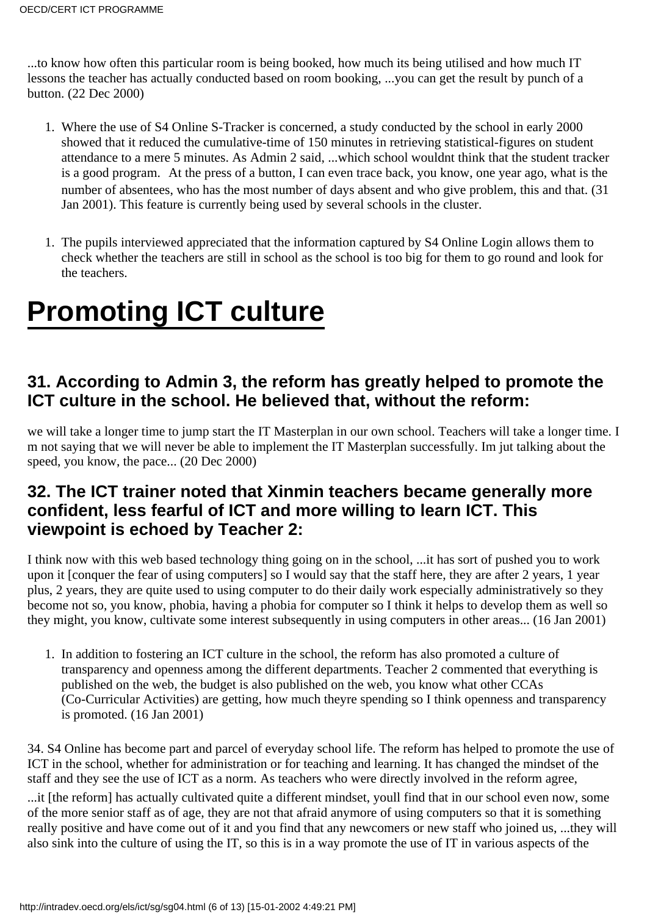...to know how often this particular room is being booked, how much its being utilised and how much IT lessons the teacher has actually conducted based on room booking, ...you can get the result by punch of a button. (22 Dec 2000)

- Where the use of S4 Online S-Tracker is concerned, a study conducted by the school in early 2000 1. showed that it reduced the cumulative-time of 150 minutes in retrieving statistical-figures on student attendance to a mere 5 minutes. As Admin 2 said, ...which school wouldnt think that the student tracker is a good program. At the press of a button, I can even trace back, you know, one year ago, what is the number of absentees, who has the most number of days absent and who give problem, this and that. (31 Jan 2001). This feature is currently being used by several schools in the cluster.
- 1. The pupils interviewed appreciated that the information captured by S4 Online Login allows them to check whether the teachers are still in school as the school is too big for them to go round and look for the teachers.

# **Promoting ICT culture**

## **31. According to Admin 3, the reform has greatly helped to promote the ICT culture in the school. He believed that, without the reform:**

we will take a longer time to jump start the IT Masterplan in our own school. Teachers will take a longer time. I m not saying that we will never be able to implement the IT Masterplan successfully. Im jut talking about the speed, you know, the pace... (20 Dec 2000)

## **32. The ICT trainer noted that Xinmin teachers became generally more confident, less fearful of ICT and more willing to learn ICT. This viewpoint is echoed by Teacher 2:**

I think now with this web based technology thing going on in the school, ...it has sort of pushed you to work upon it [conquer the fear of using computers] so I would say that the staff here, they are after 2 years, 1 year plus, 2 years, they are quite used to using computer to do their daily work especially administratively so they become not so, you know, phobia, having a phobia for computer so I think it helps to develop them as well so they might, you know, cultivate some interest subsequently in using computers in other areas... (16 Jan 2001)

1. In addition to fostering an ICT culture in the school, the reform has also promoted a culture of transparency and openness among the different departments. Teacher 2 commented that everything is published on the web, the budget is also published on the web, you know what other CCAs (Co-Curricular Activities) are getting, how much theyre spending so I think openness and transparency is promoted. (16 Jan 2001)

34. S4 Online has become part and parcel of everyday school life. The reform has helped to promote the use of ICT in the school, whether for administration or for teaching and learning. It has changed the mindset of the staff and they see the use of ICT as a norm. As teachers who were directly involved in the reform agree,

...it [the reform] has actually cultivated quite a different mindset, youll find that in our school even now, some of the more senior staff as of age, they are not that afraid anymore of using computers so that it is something really positive and have come out of it and you find that any newcomers or new staff who joined us, ...they will also sink into the culture of using the IT, so this is in a way promote the use of IT in various aspects of the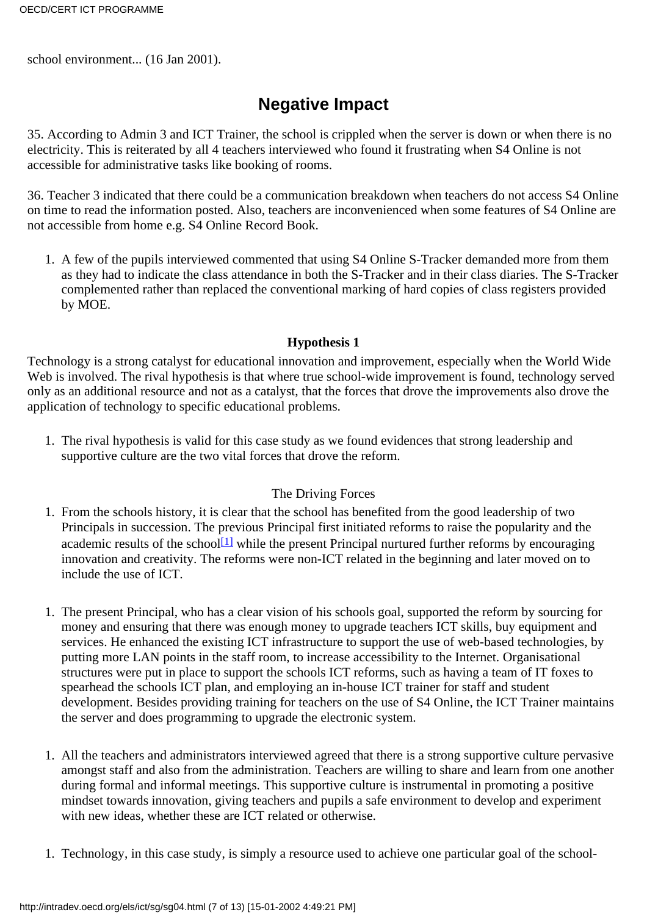school environment... (16 Jan 2001).

# **Negative Impact**

<span id="page-6-0"></span>35. According to Admin 3 and ICT Trainer, the school is crippled when the server is down or when there is no electricity. This is reiterated by all 4 teachers interviewed who found it frustrating when S4 Online is not accessible for administrative tasks like booking of rooms.

36. Teacher 3 indicated that there could be a communication breakdown when teachers do not access S4 Online on time to read the information posted. Also, teachers are inconvenienced when some features of S4 Online are not accessible from home e.g. S4 Online Record Book.

1. A few of the pupils interviewed commented that using S4 Online S-Tracker demanded more from them as they had to indicate the class attendance in both the S-Tracker and in their class diaries. The S-Tracker complemented rather than replaced the conventional marking of hard copies of class registers provided by MOE.

## **Hypothesis 1**

<span id="page-6-1"></span>Technology is a strong catalyst for educational innovation and improvement, especially when the World Wide Web is involved. The rival hypothesis is that where true school-wide improvement is found, technology served only as an additional resource and not as a catalyst, that the forces that drove the improvements also drove the application of technology to specific educational problems.

1. The rival hypothesis is valid for this case study as we found evidences that strong leadership and supportive culture are the two vital forces that drove the reform.

## The Driving Forces

- <span id="page-6-2"></span>1. From the school s history, it is clear that the school has benefited from the good leadership of two Principals in succession. The previous Principal first initiated reforms to raise the popularity and the academic results of the school<sup>[1]</sup> while the present Principal nurtured further reforms by encouraging innovation and creativity. The reforms were non-ICT related in the beginning and later moved on to include the use of ICT.
- 1. The present Principal, who has a clear vision of his school s goal, supported the reform by sourcing for money and ensuring that there was enough money to upgrade teachers ICT skills, buy equipment and services. He enhanced the existing ICT infrastructure to support the use of web-based technologies, by putting more LAN points in the staff room, to increase accessibility to the Internet. Organisational structures were put in place to support the school s ICT reforms, such as having a team of IT foxes to spearhead the school s ICT plan, and employing an in-house ICT trainer for staff and student development. Besides providing training for teachers on the use of S4 Online, the ICT Trainer maintains the server and does programming to upgrade the electronic system.
- All the teachers and administrators interviewed agreed that there is a strong supportive culture pervasive 1. amongst staff and also from the administration. Teachers are willing to share and learn from one another during formal and informal meetings. This supportive culture is instrumental in promoting a positive mindset towards innovation, giving teachers and pupils a safe environment to develop and experiment with new ideas, whether these are ICT related or otherwise.
- 1. Technology, in this case study, is simply a resource used to achieve one particular goal of the school-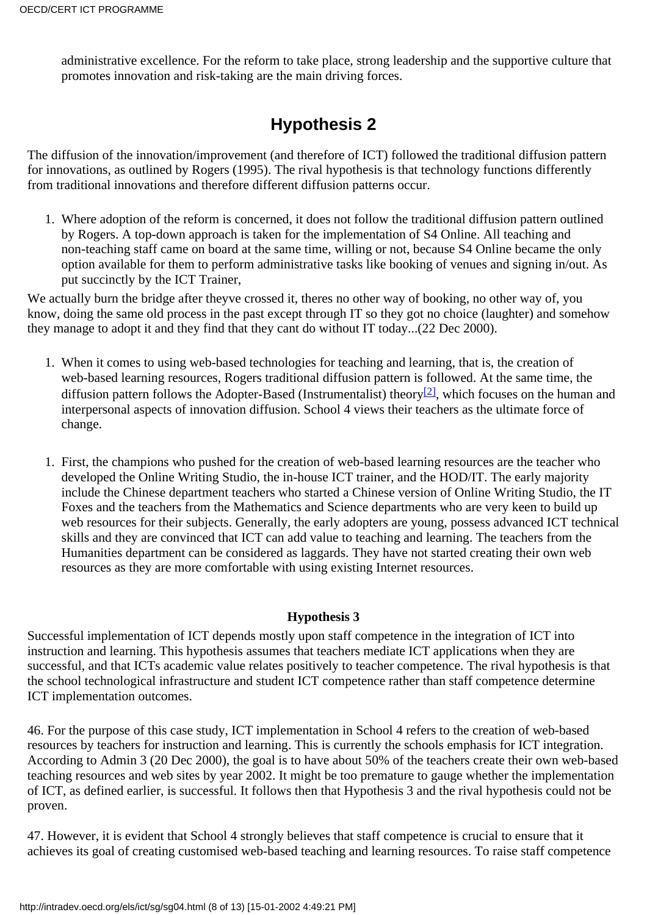administrative excellence. For the reform to take place, strong leadership and the supportive culture that promotes innovation and risk-taking are the main driving forces.

# **Hypothesis 2**

<span id="page-7-0"></span>The diffusion of the innovation/improvement (and therefore of ICT) followed the traditional diffusion pattern for innovations, as outlined by Rogers (1995). The rival hypothesis is that technology functions differently from traditional innovations and therefore different diffusion patterns occur.

Where adoption of the reform is concerned, it does not follow the traditional diffusion pattern outlined 1. by Rogers. A top-down approach is taken for the implementation of S4 Online. All teaching and non-teaching staff came on board at the same time, willing or not, because S4 Online became the only option available for them to perform administrative tasks like booking of venues and signing in/out. As put succinctly by the ICT Trainer,

We actually burn the bridge after they ve crossed it, there s no other way of booking, no other way of, you know, doing the same old process in the past except through IT so they got no choice (laughter) and somehow they manage to adopt it and they find that they cant do without IT today...(22 Dec 2000).

- <span id="page-7-2"></span>When it comes to using web-based technologies for teaching and learning, that is, the creation of 1. web-based learning resources, Rogers traditional diffusion pattern is followed. At the same time, the diffusion pattern follows the Adopter-Based (Instrumentalist) theory<sup>[2]</sup>, which focuses on the human and interpersonal aspects of innovation diffusion. School 4 views their teachers as the ultimate force of change.
- 1. First, the champions who pushed for the creation of web-based learning resources are the teacher who developed the Online Writing Studio, the in-house ICT trainer, and the HOD/IT. The early majority include the Chinese department teachers who started a Chinese version of Online Writing Studio, the IT Foxes and the teachers from the Mathematics and Science departments who are very keen to build up web resources for their subjects. Generally, the early adopters are young, possess advanced ICT technical skills and they are convinced that ICT can add value to teaching and learning. The teachers from the Humanities department can be considered as laggards. They have not started creating their own web resources as they are more comfortable with using existing Internet resources.

## **Hypothesis 3**

<span id="page-7-1"></span>Successful implementation of ICT depends mostly upon staff competence in the integration of ICT into instruction and learning. This hypothesis assumes that teachers mediate ICT applications when they are successful, and that ICT s academic value relates positively to teacher competence. The rival hypothesis is that the school technological infrastructure and student ICT competence rather than staff competence determine ICT implementation outcomes.

46. For the purpose of this case study, ICT implementation in School 4 refers to the creation of web-based resources by teachers for instruction and learning. This is currently the school s emphasis for ICT integration. According to Admin 3 (20 Dec 2000), the goal is to have about 50% of the teachers create their own web-based teaching resources and web sites by year 2002. It might be too premature to gauge whether the implementation of ICT, as defined earlier, is successful. It follows then that Hypothesis 3 and the rival hypothesis could not be proven.

47. However, it is evident that School 4 strongly believes that staff competence is crucial to ensure that it achieves its goal of creating customised web-based teaching and learning resources. To raise staff competence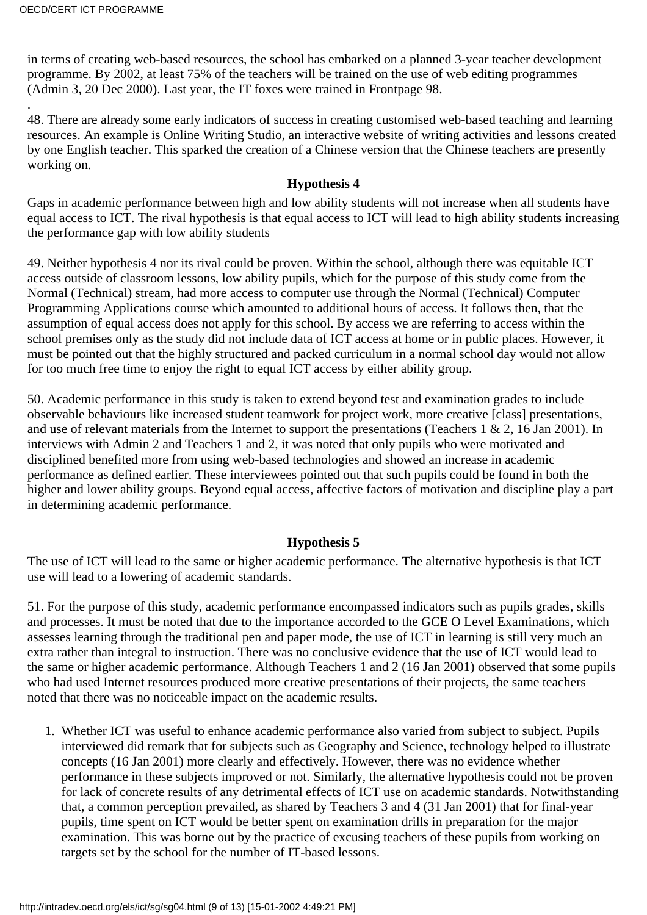in terms of creating web-based resources, the school has embarked on a planned 3-year teacher development programme. By 2002, at least 75% of the teachers will be trained on the use of web editing programmes (Admin 3, 20 Dec 2000). Last year, the IT foxes were trained in Frontpage 98.

. 48. There are already some early indicators of success in creating customised web-based teaching and learning resources. An example is Online Writing Studio, an interactive website of writing activities and lessons created by one English teacher. This sparked the creation of a Chinese version that the Chinese teachers are presently working on.

#### **Hypothesis 4**

<span id="page-8-0"></span>Gaps in academic performance between high and low ability students will not increase when all students have equal access to ICT. The rival hypothesis is that equal access to ICT will lead to high ability students increasing the performance gap with low ability students

49. Neither hypothesis 4 nor its rival could be proven. Within the school, although there was equitable ICT access outside of classroom lessons, low ability pupils, which for the purpose of this study come from the Normal (Technical) stream, had more access to computer use through the Normal (Technical) Computer Programming Applications course which amounted to additional hours of access. It follows then, that the assumption of equal access does not apply for this school. By access we are referring to access within the school premises only as the study did not include data of ICT access at home or in public places. However, it must be pointed out that the highly structured and packed curriculum in a normal school day would not allow for too much free time to enjoy the right to equal ICT access by either ability group.

50. Academic performance in this study is taken to extend beyond test and examination grades to include observable behaviours like increased student teamwork for project work, more creative [class] presentations, and use of relevant materials from the Internet to support the presentations (Teachers 1 & 2, 16 Jan 2001). In interviews with Admin 2 and Teachers 1 and 2, it was noted that only pupils who were motivated and disciplined benefited more from using web-based technologies and showed an increase in academic performance as defined earlier. These interviewees pointed out that such pupils could be found in both the higher and lower ability groups. Beyond equal access, affective factors of motivation and discipline play a part in determining academic performance.

## **Hypothesis 5**

<span id="page-8-1"></span>The use of ICT will lead to the same or higher academic performance. The alternative hypothesis is that ICT use will lead to a lowering of academic standards.

51. For the purpose of this study, academic performance encompassed indicators such as pupils grades, skills and processes. It must be noted that due to the importance accorded to the GCE O Level Examinations, which assesses learning through the traditional pen and paper mode, the use of ICT in learning is still very much an extra rather than integral to instruction. There was no conclusive evidence that the use of ICT would lead to the same or higher academic performance. Although Teachers 1 and 2 (16 Jan 2001) observed that some pupils who had used Internet resources produced more creative presentations of their projects, the same teachers noted that there was no noticeable impact on the academic results.

Whether ICT was useful to enhance academic performance also varied from subject to subject. Pupils 1. interviewed did remark that for subjects such as Geography and Science, technology helped to illustrate concepts (16 Jan 2001) more clearly and effectively. However, there was no evidence whether performance in these subjects improved or not. Similarly, the alternative hypothesis could not be proven for lack of concrete results of any detrimental effects of ICT use on academic standards. Notwithstanding that, a common perception prevailed, as shared by Teachers 3 and 4 (31 Jan 2001) that for final-year pupils, time spent on ICT would be better spent on examination drills in preparation for the major examination. This was borne out by the practice of excusing teachers of these pupils from working on targets set by the school for the number of IT-based lessons.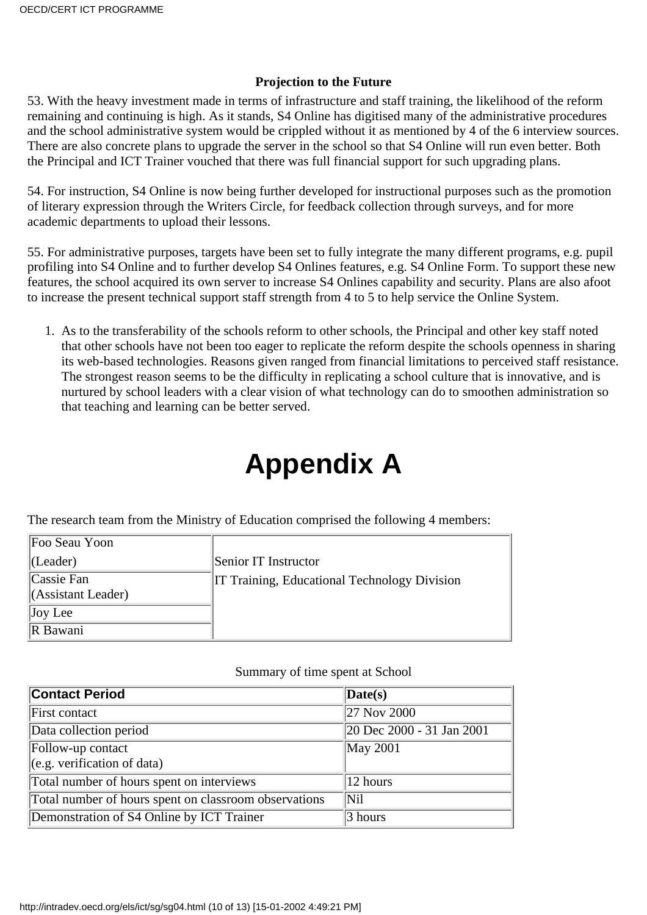### **Projection to the Future**

<span id="page-9-0"></span>53. With the heavy investment made in terms of infrastructure and staff training, the likelihood of the reform remaining and continuing is high. As it stands, S4 Online has digitised many of the administrative procedures and the school administrative system would be crippled without it as mentioned by 4 of the 6 interview sources. There are also concrete plans to upgrade the server in the school so that S4 Online will run even better. Both the Principal and ICT Trainer vouched that there was full financial support for such upgrading plans.

54. For instruction, S4 Online is now being further developed for instructional purposes such as the promotion of literary expression through the Writers Circle, for feedback collection through surveys, and for more academic departments to upload their lessons.

55. For administrative purposes, targets have been set to fully integrate the many different programs, e.g. pupil profiling into S4 Online and to further develop S4 Online s features, e.g. S4 Online Form. To support these new features, the school acquired its own server to increase S4 Onlines capability and security. Plans are also afoot to increase the present technical support staff strength from 4 to 5 to help service the Online System.

1. As to the transferability of the school s reform to other schools, the Principal and other key staff noted that other schools have not been too eager to replicate the reform despite the schools openness in sharing its web-based technologies. Reasons given ranged from financial limitations to perceived staff resistance. The strongest reason seems to be the difficulty in replicating a school culture that is innovative, and is nurtured by school leaders with a clear vision of what technology can do to smoothen administration so that teaching and learning can be better served.

# **Appendix A**

<span id="page-9-1"></span>The research team from the Ministry of Education comprised the following 4 members:

| Foo Seau Yoon           |                                                     |
|-------------------------|-----------------------------------------------------|
| $ $ (Leader)            | Senior IT Instructor                                |
| Cassie Fan              | <b>IT Training, Educational Technology Division</b> |
| $\ $ (Assistant Leader) |                                                     |
| $\vert$ Joy Lee         |                                                     |
| <b>R</b> Bawani         |                                                     |

#### Summary of time spent at School

| <b>Contact Period</b>                                         | $\Delta$ Date(s)          |
|---------------------------------------------------------------|---------------------------|
| First contact                                                 | 27 Nov 2000               |
| Data collection period                                        | 20 Dec 2000 - 31 Jan 2001 |
| Follow-up contact                                             | May 2001                  |
| $\left\vert (e.g. \, verification \, of \, data) \right\vert$ |                           |
| Total number of hours spent on interviews                     | 12 hours                  |
| Total number of hours spent on classroom observations         | <b>Nil</b>                |
| Demonstration of S4 Online by ICT Trainer                     | 3 hours                   |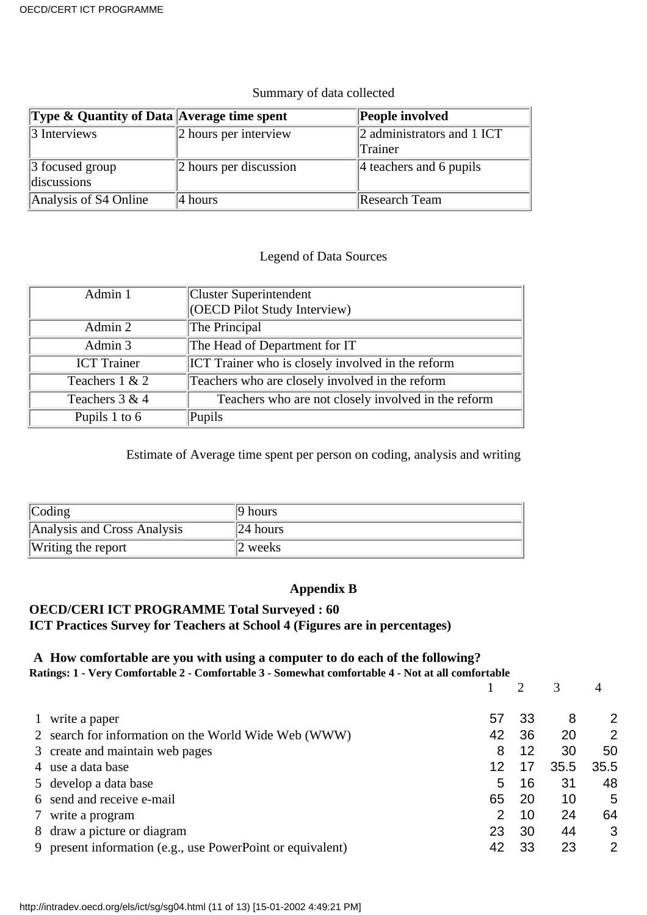### Summary of data collected

| <b>Type &amp; Quantity of Data Average time spent</b> |                               | People involved                       |
|-------------------------------------------------------|-------------------------------|---------------------------------------|
| $\beta$ Interviews                                    | $\vert$ 2 hours per interview | 2 administrators and 1 ICT<br>Trainer |
|                                                       |                               |                                       |
| $\beta$ focused group                                 | 2 hours per discussion        | $\parallel$ 4 teachers and 6 pupils   |
| discussions                                           |                               |                                       |
| Analysis of S4 Online                                 | $ 4$ hours                    | Research Team                         |

## Legend of Data Sources

| Admin 1            | <b>Cluster Superintendent</b><br>(OECD Pilot Study Interview) |
|--------------------|---------------------------------------------------------------|
| Admin 2            | The Principal                                                 |
| Admin 3            | The Head of Department for IT                                 |
| <b>ICT</b> Trainer | <b>ICT</b> Trainer who is closely involved in the reform      |
| Teachers 1 & 2     | Teachers who are closely involved in the reform               |
| Teachers 3 & 4     | Teachers who are not closely involved in the reform           |
| Pupils 1 to 6      | Pupils                                                        |

Estimate of Average time spent per person on coding, analysis and writing

| $\lfloor \text{Coding} \rfloor$ | $ 9$ hours     |
|---------------------------------|----------------|
| Analysis and Cross Analysis     | $\ 24\ $ hours |
| Writing the report              | 2 weeks        |

## **Appendix B**

## <span id="page-10-0"></span>**OECD/CERI ICT PROGRAMME Total Surveyed : 60 ICT Practices Survey for Teachers at School 4 (Figures are in percentages)**

## **A How comfortable are you with using a computer to do each of the following?**

**Ratings: 1 - Very Comfortable 2 - Comfortable 3 - Somewhat comfortable 4 - Not at all comfortable**

|   |                                                            |     |    |      | 4    |
|---|------------------------------------------------------------|-----|----|------|------|
|   | write a paper                                              | 57  | 33 | 8    | 2    |
|   | 2 search for information on the World Wide Web (WWW)       | 42  | 36 | 20   | 2    |
|   | 3 create and maintain web pages                            | 8   | 12 | 30   | 50   |
|   | 4 use a data base                                          | 12  | 17 | 35.5 | 35.5 |
|   | 5 develop a data base                                      | 5   | 16 | 31   | 48   |
|   | 6 send and receive e-mail                                  | 65  | 20 | 10   | 5    |
| 7 | write a program                                            | 2   | 10 | 24   | 64   |
|   | 8 draw a picture or diagram                                | 23  | 30 | 44   | 3    |
|   | 9 present information (e.g., use PowerPoint or equivalent) | -42 | 33 | 23   | 2    |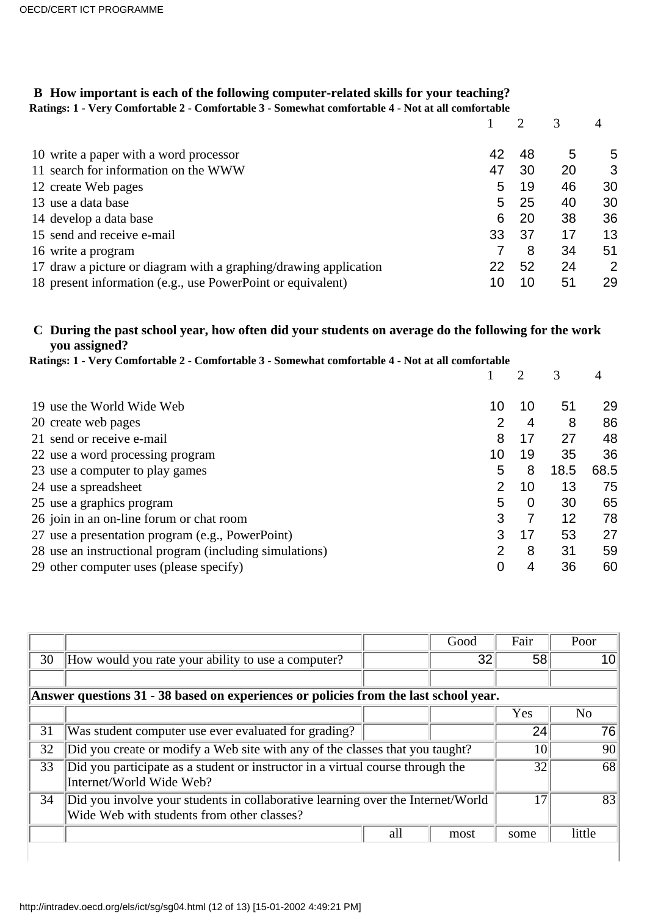# **B How important is each of the following computer-related skills for your teaching?**

**Ratings: 1 - Very Comfortable 2 - Comfortable 3 - Somewhat comfortable 4 - Not at all comfortable**

| 10 write a paper with a word processor                           | 42 | 48  | 5  | 5  |
|------------------------------------------------------------------|----|-----|----|----|
| 11 search for information on the WWW                             | 47 | 30  | 20 | 3  |
| 12 create Web pages                                              | 5  | 19  | 46 | 30 |
| 13 use a data base                                               | 5. | 25  | 40 | 30 |
| 14 develop a data base                                           | 6  | 20  | 38 | 36 |
| 15 send and receive e-mail                                       | 33 | -37 | 17 | 13 |
| 16 write a program                                               |    | 8   | 34 | 51 |
| 17 draw a picture or diagram with a graphing/drawing application | 22 | 52  | 24 | 2  |
| 18 present information (e.g., use PowerPoint or equivalent)      | 10 | 10  | 51 | 29 |

## **C During the past school year, how often did your students on average do the following for the work you assigned?**

| Ratings: 1 - Very Comfortable 2 - Comfortable 3 - Somewhat comfortable 4 - Not at all comfortable |                |    |      |      |  |  |
|---------------------------------------------------------------------------------------------------|----------------|----|------|------|--|--|
|                                                                                                   |                | 2  | 3    | 4    |  |  |
| 19 use the World Wide Web                                                                         | 10             | 10 | 51   | 29   |  |  |
| 20 create web pages                                                                               | 2              | 4  | 8    | 86   |  |  |
| 21 send or receive e-mail                                                                         | 8              | 17 | 27   | 48   |  |  |
| 22 use a word processing program                                                                  | 10             | 19 | 35   | 36   |  |  |
| 23 use a computer to play games                                                                   | 5              | 8  | 18.5 | 68.5 |  |  |
| 24 use a spreadsheet                                                                              | $\overline{2}$ | 10 | 13   | 75   |  |  |
| 25 use a graphics program                                                                         | 5              | 0  | 30   | 65   |  |  |
| 26 join in an on-line forum or chat room                                                          | 3              |    | 12   | 78   |  |  |
| 27 use a presentation program (e.g., PowerPoint)                                                  | 3              | 17 | 53   | 27   |  |  |
| 28 use an instructional program (including simulations)                                           | $\overline{2}$ | 8  | 31   | 59   |  |  |
| 29 other computer uses (please specify)                                                           | 0              | 4  | 36   | 60   |  |  |

|    |                                                                                                                               |     | Good | Fair | Poor   |
|----|-------------------------------------------------------------------------------------------------------------------------------|-----|------|------|--------|
| 30 | How would you rate your ability to use a computer?                                                                            |     | 32   | 58   |        |
|    |                                                                                                                               |     |      |      |        |
|    | Answer questions 31 - 38 based on experiences or policies from the last school year.                                          |     |      |      |        |
|    |                                                                                                                               |     |      | Yes  | No     |
| 31 | Was student computer use ever evaluated for grading?                                                                          |     |      | 24   | 76     |
| 32 | Did you create or modify a Web site with any of the classes that you taught?                                                  |     |      |      | 90     |
| 33 | Did you participate as a student or instructor in a virtual course through the<br>Internet/World Wide Web?                    |     | 32   | 68   |        |
| 34 | Did you involve your students in collaborative learning over the Internet/World<br>Wide Web with students from other classes? |     |      |      | 83     |
|    |                                                                                                                               | all | most | some | little |
|    |                                                                                                                               |     |      |      |        |